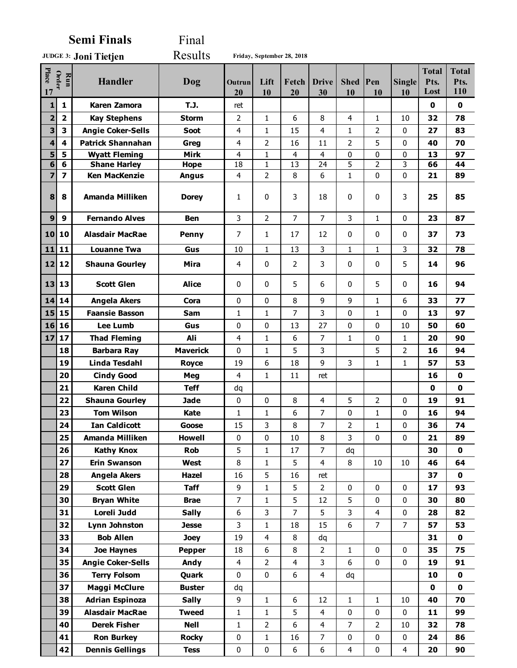**Semi Finals** Final

**Joni Tietjen JUDGE 3:** Results **Friday, September 28, 2018**

| Place<br>17             | Order<br>Run            | <b>Handler</b>           | Dog             | Outrun<br>20            | Lift<br>10     | Fetch<br>20    | <b>Drive</b><br>30 | Shed Pen<br>10 | 10             | <b>Single</b><br>10 | <b>Total</b><br>Pts.<br>Lost | <b>Total</b><br>Pts.<br>110 |
|-------------------------|-------------------------|--------------------------|-----------------|-------------------------|----------------|----------------|--------------------|----------------|----------------|---------------------|------------------------------|-----------------------------|
| $\mathbf{1}$            | $\mathbf{1}$            | <b>Karen Zamora</b>      | T.J.            | ret                     |                |                |                    |                |                |                     | $\mathbf 0$                  | $\mathbf 0$                 |
| $\overline{\mathbf{2}}$ | $\overline{\mathbf{2}}$ | <b>Kay Stephens</b>      | <b>Storm</b>    | 2                       | $\mathbf{1}$   | 6              | 8                  | $\overline{4}$ | $\mathbf{1}$   | 10                  | 32                           | 78                          |
| 3                       | 3                       | <b>Angie Coker-Sells</b> | Soot            | 4                       | $\mathbf{1}$   | 15             | 4                  | $\mathbf{1}$   | 2              | $\mathbf{0}$        | 27                           | 83                          |
| 4                       | 4                       | <b>Patrick Shannahan</b> | Greg            | 4                       | 2              | 16             | 11                 | 2              | 5              | 0                   | 40                           | 70                          |
| 5                       | 5                       | <b>Wyatt Fleming</b>     | <b>Mirk</b>     | $\overline{4}$          | 1              | 4              | $\overline{4}$     | 0              | 0              | 0                   | 13                           | 97                          |
| 6                       | 6                       | <b>Shane Harley</b>      | <b>Hope</b>     | 18                      | $\mathbf{1}$   | 13             | 24                 | 5              | $\overline{2}$ | 3                   | 66                           | 44                          |
| 7                       | $\overline{\mathbf{z}}$ | <b>Ken MacKenzie</b>     | <b>Angus</b>    | 4                       | $\overline{2}$ | 8              | 6                  | $\mathbf 1$    | 0              | 0                   | 21                           | 89                          |
| 8                       | 8                       | <b>Amanda Milliken</b>   | <b>Dorey</b>    | 1                       | 0              | 3              | 18                 | 0              | 0              | 3                   | 25                           | 85                          |
| $\boldsymbol{9}$        | 9                       | <b>Fernando Alves</b>    | <b>Ben</b>      | 3                       | $\overline{2}$ | $\overline{7}$ | $\overline{7}$     | 3              | $\mathbf{1}$   | 0                   | 23                           | 87                          |
| 10                      | 10                      | <b>Alasdair MacRae</b>   | Penny           | 7                       | 1              | 17             | 12                 | 0              | 0              | 0                   | 37                           | 73                          |
| 11                      | 11                      | <b>Louanne Twa</b>       | Gus             | 10                      | $\mathbf{1}$   | 13             | 3                  | 1              | 1              | 3                   | 32                           | 78                          |
|                         | 12 12                   | <b>Shauna Gourley</b>    | <b>Mira</b>     | $\overline{4}$          | 0              | 2              | 3                  | 0              | $\mathbf{0}$   | 5                   | 14                           | 96                          |
|                         | 13 13                   | <b>Scott Glen</b>        | <b>Alice</b>    | 0                       | $\mathbf{0}$   | 5              | 6                  | 0              | 5              | $\mathbf{0}$        | 16                           | 94                          |
| 14                      | 14                      | <b>Angela Akers</b>      | Cora            | 0                       | $\mathbf{0}$   | 8              | 9                  | 9              | 1              | 6                   | 33                           | 77                          |
| 15                      | 15                      | <b>Faansie Basson</b>    | <b>Sam</b>      | $\mathbf{1}$            | $\mathbf{1}$   | 7              | 3                  | $\Omega$       | 1              | $\mathbf{0}$        | 13                           | 97                          |
| 16                      | 16                      | <b>Lee Lumb</b>          | Gus             | 0                       | 0              | 13             | 27                 | 0              | 0              | 10                  | 50                           | 60                          |
| 17                      | 17                      | <b>Thad Fleming</b>      | Ali             | $\overline{4}$          | 1              | 6              | 7                  | 1              | 0              | 1                   | 20                           | 90                          |
|                         | 18                      | <b>Barbara Ray</b>       | <b>Maverick</b> | $\mathbf{0}$            | $\mathbf{1}$   | 5              | 3                  |                | 5              | $\overline{2}$      | 16                           | 94                          |
|                         | 19                      | <b>Linda Tesdahl</b>     | <b>Royce</b>    | 19                      | 6              | 18             | 9                  | 3              | 1              | $\mathbf{1}$        | 57                           | 53                          |
|                         | 20                      | <b>Cindy Good</b>        | Meg             | 4                       | $\mathbf{1}$   | 11             | ret                |                |                |                     | 16                           | $\mathbf 0$                 |
|                         | 21                      | <b>Karen Child</b>       | <b>Teff</b>     | dq                      |                |                |                    |                |                |                     | $\mathbf 0$                  | $\mathbf 0$                 |
|                         | 22                      | <b>Shauna Gourley</b>    | <b>Jade</b>     | 0                       | $\pmb{0}$      | 8              | $\overline{4}$     | 5              | $\overline{2}$ | 0                   | 19                           | 91                          |
|                         | 23                      | <b>Tom Wilson</b>        | Kate            | $\mathbf{1}$            | $\mathbf{1}$   | 6              | 7                  | 0              | 1              | 0                   | 16                           | 94                          |
|                         | 24                      | <b>Ian Caldicott</b>     | Goose           | 15                      | 3              | 8              | 7                  | $\overline{2}$ | 1              | 0                   | 36                           | 74                          |
|                         | 25                      | Amanda Milliken          | <b>Howell</b>   | 0                       | 0              | 10             | 8                  | 3              | 0              | $\Omega$            | 21                           | 89                          |
|                         | 26                      | <b>Kathy Knox</b>        | <b>Rob</b>      | 5                       | $\mathbf{1}$   | 17             | $\overline{7}$     | dq             |                |                     | 30                           | 0                           |
|                         | 27                      | <b>Erin Swanson</b>      | West            | 8                       | $\mathbf{1}$   | 5              | 4                  | 8              | 10             | 10                  | 46                           | 64                          |
|                         | 28                      | <b>Angela Akers</b>      | Hazel           | 16                      | 5              | 16             | ret                |                |                |                     | 37                           | $\mathbf 0$                 |
|                         | 29                      | <b>Scott Glen</b>        | <b>Taff</b>     | 9                       | $\mathbf{1}$   | 5              | $\overline{2}$     | 0              | 0              | 0                   | 17                           | 93                          |
|                         | 30                      | <b>Bryan White</b>       | <b>Brae</b>     | $\overline{7}$          | $\mathbf{1}$   | 5              | 12                 | 5              | 0              | 0                   | 30                           | 80                          |
|                         | 31                      | Loreli Judd              | <b>Sally</b>    | 6                       | 3              | $\overline{7}$ | 5                  | 3              | 4              | 0                   | 28                           | 82                          |
|                         | 32                      | <b>Lynn Johnston</b>     | <b>Jesse</b>    | 3                       | $\mathbf{1}$   | 18             | 15                 | 6              | $\overline{7}$ | $\overline{7}$      | 57                           | 53                          |
|                         | 33                      | <b>Bob Allen</b>         | <b>Joey</b>     | 19                      | $\overline{4}$ | 8              | dq                 |                |                |                     | 31                           | 0                           |
|                         | 34                      | <b>Joe Haynes</b>        | Pepper          | 18                      | 6              | 8              | $\overline{2}$     | $\mathbf{1}$   | 0              | 0                   | 35                           | 75                          |
|                         | 35                      | <b>Angie Coker-Sells</b> | Andy            | $\overline{\mathbf{4}}$ | $\overline{2}$ | $\overline{4}$ | 3                  | 6              | $\pmb{0}$      | 0                   | 19                           | 91                          |
|                         | 36                      | <b>Terry Folsom</b>      | Quark           | 0                       | $\bf 0$        | 6              | $\overline{4}$     | dq             |                |                     | 10                           | 0                           |
|                         | 37                      | <b>Maggi McClure</b>     | <b>Buster</b>   | dq                      |                |                |                    |                |                |                     | $\mathbf 0$                  | $\mathbf 0$                 |
|                         | 38                      | <b>Adrian Espinoza</b>   | <b>Sally</b>    | 9                       | $\mathbf{1}$   | 6              | 12                 | $\mathbf{1}$   | 1              | 10                  | 40                           | 70                          |
|                         | 39                      | <b>Alasdair MacRae</b>   | <b>Tweed</b>    | $\mathbf{1}$            | $\mathbf{1}$   | 5              | $\overline{4}$     | 0              | 0              | 0                   | 11                           | 99                          |
|                         | 40                      | <b>Derek Fisher</b>      | <b>Nell</b>     | $\mathbf{1}$            | 2              | 6              | 4                  | $\overline{7}$ | 2              | 10                  | 32                           | 78                          |
|                         | 41                      | <b>Ron Burkey</b>        | <b>Rocky</b>    | 0                       | $\mathbf{1}$   | 16             | 7                  | 0              | 0              | 0                   | 24                           | 86                          |
|                         | 42                      | <b>Dennis Gellings</b>   | <b>Tess</b>     | $\pmb{0}$               | $\pmb{0}$      | 6              | $\boldsymbol{6}$   | $\overline{4}$ | $\pmb{0}$      | 4                   | 20                           | 90                          |